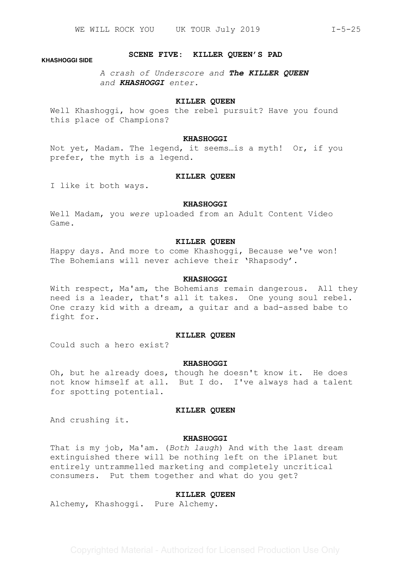#### **KHASHOGGI SIDE**

# **SCENE FIVE: KILLER QUEEN'S PAD**

*A crash of Underscore and The KILLER QUEEN and KHASHOGGI enter.*

# **KILLER QUEEN**

Well Khashoggi, how goes the rebel pursuit? Have you found this place of Champions?

# **KHASHOGGI**

Not yet, Madam. The legend, it seems…is a myth! Or, if you prefer, the myth is a legend.

#### **KILLER QUEEN**

I like it both ways.

## **KHASHOGGI**

Well Madam, you *were* uploaded from an Adult Content Video Game.

# **KILLER QUEEN**

Happy days. And more to come Khashoggi, Because we've won! The Bohemians will never achieve their 'Rhapsody'.

### **KHASHOGGI**

With respect, Ma'am, the Bohemians remain dangerous. All they need is a leader, that's all it takes. One young soul rebel. One crazy kid with a dream, a guitar and a bad-assed babe to fight for.

### **KILLER QUEEN**

Could such a hero exist?

#### **KHASHOGGI**

Oh, but he already does, though he doesn't know it. He does not know himself at all. But I do. I've always had a talent for spotting potential.

# **KILLER QUEEN**

And crushing it.

## **KHASHOGGI**

That is my job, Ma'am. (*Both laugh*) And with the last dream extinguished there will be nothing left on the iPlanet but entirely untrammelled marketing and completely uncritical consumers. Put them together and what do you get?

#### **KILLER QUEEN**

Alchemy, Khashoggi. Pure Alchemy.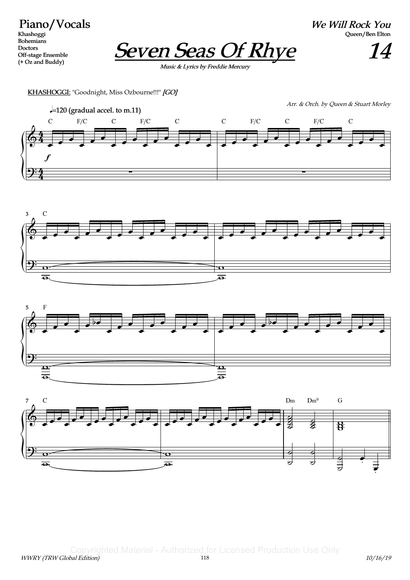Piano/Vocals Khashoggi Bohemians Doctors Off-stage Ensemble (+ Oz and Buddy)

We Will Rock You Queen/Ben Elton



Music & Lyrics by Freddie Mercury

KHASHOGGI: "Goodnight, Miss Ozbourne!!!" [GO]







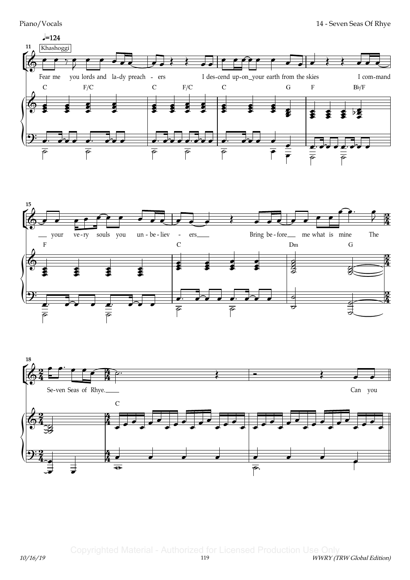



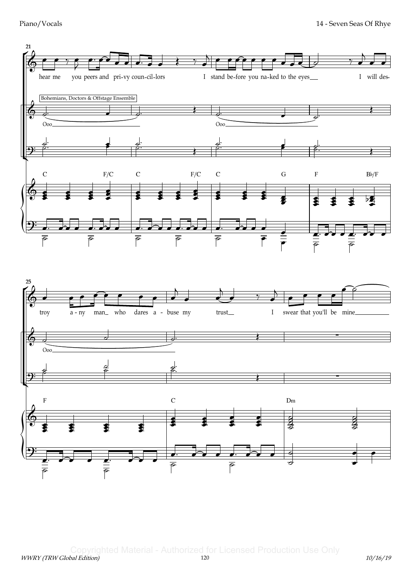Piano/Vocals